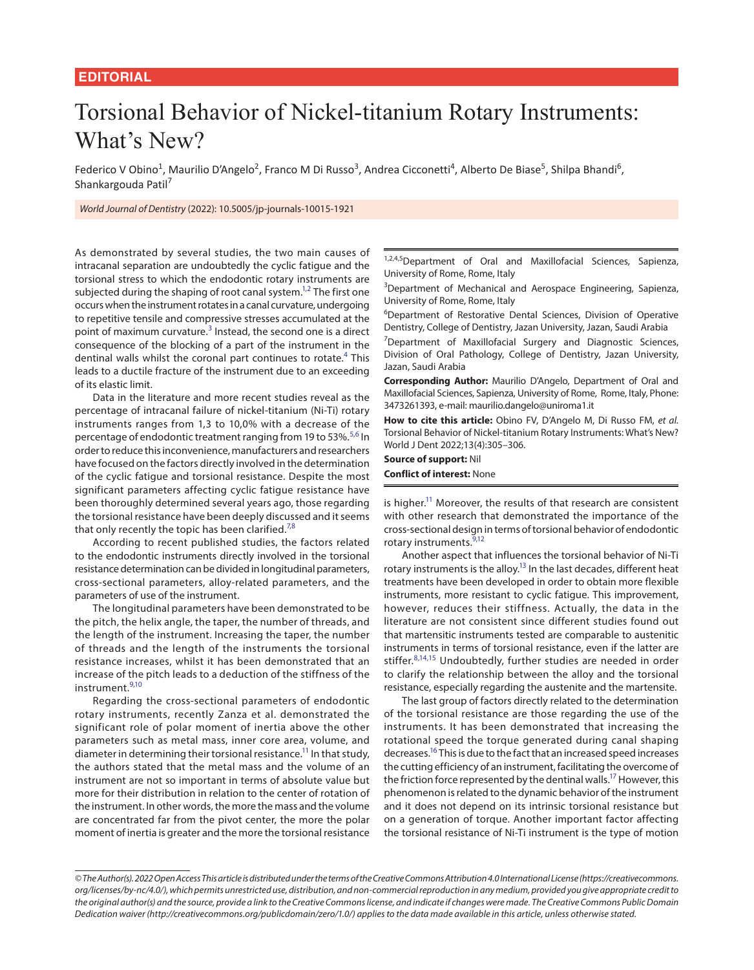## Torsional Behavior of Nickel-titanium Rotary Instruments: What's New?

Federico V Obino<sup>1</sup>, Maurilio D'Angelo<sup>2</sup>, Franco M Di Russo<sup>3</sup>, Andrea Cicconetti<sup>4</sup>, Alberto De Biase<sup>5</sup>, Shilpa Bhandi<sup>6</sup>, Shankargouda Patil<sup>7</sup>

*World Journal of Dentistry* (2022): 10.5005/jp-journals-10015-1921

As demonstrated by several studies, the two main causes of intracanal separation are undoubtedly the cyclic fatigue and the torsional stress to which the endodontic rotary instruments are subjected during the shaping of root canal system.<sup>1[,2](#page-1-9)</sup> The first one occurs when the instrument rotates in a canal curvature, undergoing to repetitive tensile and compressive stresses accumulated at the point of maximum curvature.<sup>[3](#page-1-10)</sup> Instead, the second one is a direct consequence of the blocking of a part of the instrument in the dentinal walls whilst the coronal part continues to rotate.<sup>[4](#page-1-11)</sup> This leads to a ductile fracture of the instrument due to an exceeding of its elastic limit.

Data in the literature and more recent studies reveal as the percentage of intracanal failure of nickel-titanium (Ni-Ti) rotary instruments ranges from 1,3 to 10,0% with a decrease of the percentage of endodontic treatment ranging from 19 to [5](#page-1-12)3%.<sup>5,[6](#page-1-13)</sup> In order to reduce this inconvenience, manufacturers and researchers have focused on the factors directly involved in the determination of the cyclic fatigue and torsional resistance. Despite the most significant parameters affecting cyclic fatigue resistance have been thoroughly determined several years ago, those regarding the torsional resistance have been deeply discussed and it seems that only recently the topic has been clarified.<sup>[7,](#page-1-14)[8](#page-1-4)</sup>

According to recent published studies, the factors related to the endodontic instruments directly involved in the torsional resistance determination can be divided in longitudinal parameters, cross-sectional parameters, alloy-related parameters, and the parameters of use of the instrument.

The longitudinal parameters have been demonstrated to be the pitch, the helix angle, the taper, the number of threads, and the length of the instrument. Increasing the taper, the number of threads and the length of the instruments the torsional resistance increases, whilst it has been demonstrated that an increase of the pitch leads to a deduction of the stiffness of the instrument.[9](#page-1-1)[,10](#page-1-15)

<span id="page-0-3"></span><span id="page-0-2"></span>Regarding the cross-sectional parameters of endodontic rotary instruments, recently Zanza et al. demonstrated the significant role of polar moment of inertia above the other parameters such as metal mass, inner core area, volume, and diameter in determining their torsional resistance.<sup>11</sup> In that study, the authors stated that the metal mass and the volume of an instrument are not so important in terms of absolute value but more for their distribution in relation to the center of rotation of the instrument. In other words, the more the mass and the volume are concentrated far from the pivot center, the more the polar moment of inertia is greater and the more the torsional resistance 1,2,4,5 Department of Oral and Maxillofacial Sciences, Sapienza, University of Rome, Rome, Italy

<span id="page-0-11"></span><span id="page-0-10"></span><sup>3</sup>Department of Mechanical and Aerospace Engineering, Sapienza, University of Rome, Rome, Italy

6 Department of Restorative Dental Sciences, Division of Operative Dentistry, College of Dentistry, Jazan University, Jazan, Saudi Arabia

<span id="page-0-13"></span><span id="page-0-12"></span><sup>7</sup>Department of Maxillofacial Surgery and Diagnostic Sciences, Division of Oral Pathology, College of Dentistry, Jazan University, Jazan, Saudi Arabia

**Corresponding Author:** Maurilio D'Angelo, Department of Oral and Maxillofacial Sciences, Sapienza, University of Rome, Rome, Italy, Phone: 3473261393, e-mail: maurilio.dangelo@uniroma1.it

<span id="page-0-15"></span><span id="page-0-14"></span>**How to cite this article:** Obino FV, D'Angelo M, Di Russo FM, *et al.* Torsional Behavior of Nickel-titanium Rotary Instruments: What's New? World J Dent 2022;13(4):305–306.

**Source of support:** Nil

**Conflict of interest:** None

<span id="page-0-1"></span><span id="page-0-0"></span>is higher.<sup>11</sup> Moreover, the results of that research are consistent with other research that demonstrated the importance of the cross-sectional design in terms of torsional behavior of endodontic rotary instruments.<sup>9[,12](#page-1-2)</sup>

<span id="page-0-6"></span><span id="page-0-5"></span>Another aspect that influences the torsional behavior of Ni-Ti rotary instruments is the alloy.<sup>13</sup> In the last decades, different heat treatments have been developed in order to obtain more flexible instruments, more resistant to cyclic fatigue. This improvement, however, reduces their stiffness. Actually, the data in the literature are not consistent since different studies found out that martensitic instruments tested are comparable to austenitic instruments in terms of torsional resistance, even if the latter are stiffer.<sup>[8](#page-1-4)[,14,15](#page-1-5)</sup> Undoubtedly, further studies are needed in order to clarify the relationship between the alloy and the torsional resistance, especially regarding the austenite and the martensite.

<span id="page-0-9"></span><span id="page-0-8"></span><span id="page-0-7"></span><span id="page-0-4"></span>The last group of factors directly related to the determination of the torsional resistance are those regarding the use of the instruments. It has been demonstrated that increasing the rotational speed the torque generated during canal shaping decreases.<sup>16</sup> This is due to the fact that an increased speed increases the cutting efficiency of an instrument, facilitating the overcome of the friction force represented by the dentinal walls.<sup>17</sup> However, this phenomenon is related to the dynamic behavior of the instrument and it does not depend on its intrinsic torsional resistance but on a generation of torque. Another important factor affecting the torsional resistance of Ni-Ti instrument is the type of motion

*<sup>©</sup> The Author(s). 2022 Open Access This article is distributed under the terms of the Creative Commons Attribution 4.0 International License (https://creativecommons. org/licenses/by-nc/4.0/), which permits unrestricted use, distribution, and non-commercial reproduction in any medium, provided you give appropriate credit to the original author(s) and the source, provide a link to the Creative Commons license, and indicate if changes were made. The Creative Commons Public Domain Dedication waiver (http://creativecommons.org/publicdomain/zero/1.0/) applies to the data made available in this article, unless otherwise stated.*